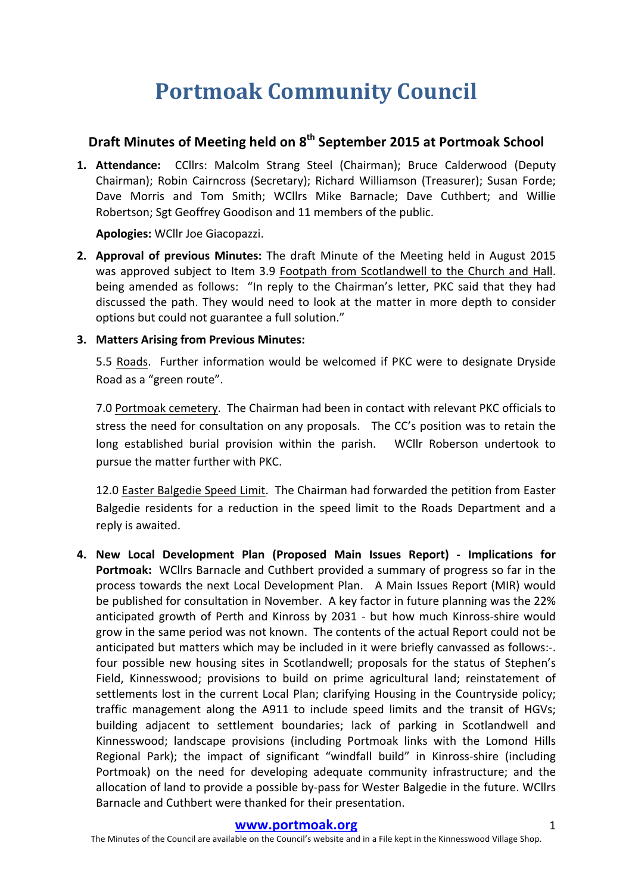# **Portmoak Community Council**

## **Draft Minutes of Meeting held on 8th September 2015 at Portmoak School**

1. Attendance: CCllrs: Malcolm Strang Steel (Chairman); Bruce Calderwood (Deputy Chairman); Robin Cairncross (Secretary); Richard Williamson (Treasurer); Susan Forde; Dave Morris and Tom Smith; WCllrs Mike Barnacle; Dave Cuthbert; and Willie Robertson; Sgt Geoffrey Goodison and 11 members of the public.

**Apologies:** WCllr Joe Giacopazzi.

**2. Approval of previous Minutes:** The draft Minute of the Meeting held in August 2015 was approved subject to Item 3.9 Footpath from Scotlandwell to the Church and Hall. being amended as follows: "In reply to the Chairman's letter, PKC said that they had discussed the path. They would need to look at the matter in more depth to consider options but could not guarantee a full solution."

## **3. Matters Arising from Previous Minutes:**

5.5 Roads. Further information would be welcomed if PKC were to designate Dryside Road as a "green route".

7.0 Portmoak cemetery. The Chairman had been in contact with relevant PKC officials to stress the need for consultation on any proposals. The CC's position was to retain the long established burial provision within the parish. WCllr Roberson undertook to pursue the matter further with PKC.

12.0 Easter Balgedie Speed Limit. The Chairman had forwarded the petition from Easter Balgedie residents for a reduction in the speed limit to the Roads Department and a reply is awaited.

**4. New Local Development Plan (Proposed Main Issues Report) - Implications for Portmoak:** WCllrs Barnacle and Cuthbert provided a summary of progress so far in the process towards the next Local Development Plan. A Main Issues Report (MIR) would be published for consultation in November. A key factor in future planning was the 22% anticipated growth of Perth and Kinross by 2031 - but how much Kinross-shire would grow in the same period was not known. The contents of the actual Report could not be anticipated but matters which may be included in it were briefly canvassed as follows:-. four possible new housing sites in Scotlandwell; proposals for the status of Stephen's Field, Kinnesswood; provisions to build on prime agricultural land; reinstatement of settlements lost in the current Local Plan; clarifying Housing in the Countryside policy; traffic management along the A911 to include speed limits and the transit of HGVs; building adjacent to settlement boundaries; lack of parking in Scotlandwell and Kinnesswood; landscape provisions (including Portmoak links with the Lomond Hills Regional Park); the impact of significant "windfall build" in Kinross-shire (including Portmoak) on the need for developing adequate community infrastructure; and the allocation of land to provide a possible by-pass for Wester Balgedie in the future. WCllrs Barnacle and Cuthbert were thanked for their presentation.

#### **www.portmoak.org** 1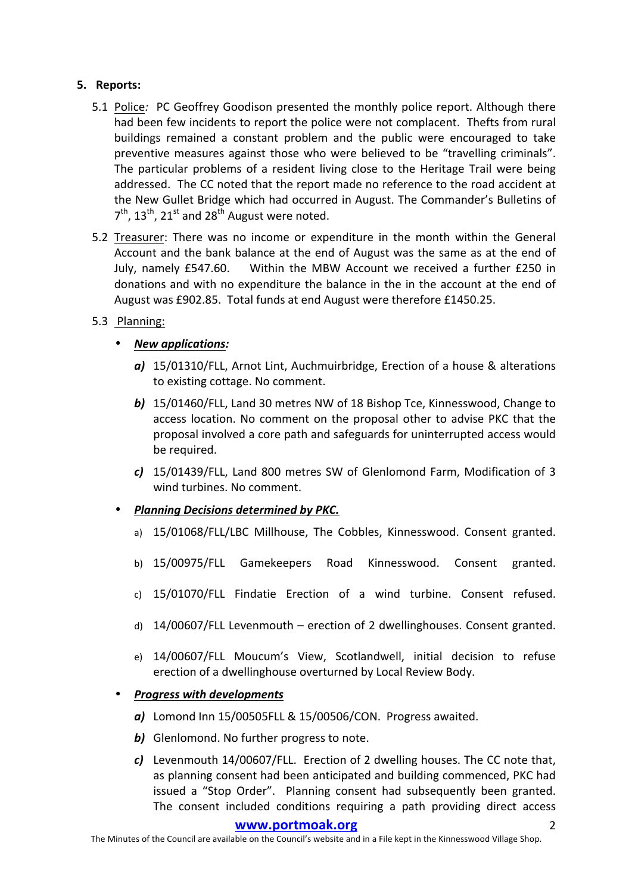## **5.** Reports:

- 5.1 Police: PC Geoffrey Goodison presented the monthly police report. Although there had been few incidents to report the police were not complacent. Thefts from rural buildings remained a constant problem and the public were encouraged to take preventive measures against those who were believed to be "travelling criminals". The particular problems of a resident living close to the Heritage Trail were being addressed. The CC noted that the report made no reference to the road accident at the New Gullet Bridge which had occurred in August. The Commander's Bulletins of  $7<sup>th</sup>$ ,  $13<sup>th</sup>$ ,  $21<sup>st</sup>$  and  $28<sup>th</sup>$  August were noted.
- 5.2 Treasurer: There was no income or expenditure in the month within the General Account and the bank balance at the end of August was the same as at the end of July, namely  $£547.60.$  Within the MBW Account we received a further  $£250$  in donations and with no expenditure the balance in the in the account at the end of August was £902.85. Total funds at end August were therefore £1450.25.

## 5.3 Planning:

- *New applications:*
	- a) 15/01310/FLL, Arnot Lint, Auchmuirbridge, Erection of a house & alterations to existing cottage. No comment.
	- **b)** 15/01460/FLL, Land 30 metres NW of 18 Bishop Tce, Kinnesswood, Change to access location. No comment on the proposal other to advise PKC that the proposal involved a core path and safeguards for uninterrupted access would be required.
	- *c*) 15/01439/FLL, Land 800 metres SW of Glenlomond Farm, Modification of 3 wind turbines. No comment.
- *Planning Decisions determined by PKC.*
	- a) 15/01068/FLL/LBC Millhouse, The Cobbles, Kinnesswood. Consent granted.
	- b) 15/00975/FLL Gamekeepers Road Kinnesswood. Consent granted.
	- c) 15/01070/FLL Findatie Erection of a wind turbine. Consent refused.
	- d)  $14/00607/FL$  Levenmouth erection of 2 dwellinghouses. Consent granted.
	- e) 14/00607/FLL Moucum's View, Scotlandwell, initial decision to refuse erection of a dwellinghouse overturned by Local Review Body.

## **Progress with developments**

- a) Lomond Inn 15/00505FLL & 15/00506/CON. Progress awaited.
- **b)** Glenlomond. No further progress to note.
- *c*) Levenmouth 14/00607/FLL. Erection of 2 dwelling houses. The CC note that, as planning consent had been anticipated and building commenced, PKC had issued a "Stop Order". Planning consent had subsequently been granted. The consent included conditions requiring a path providing direct access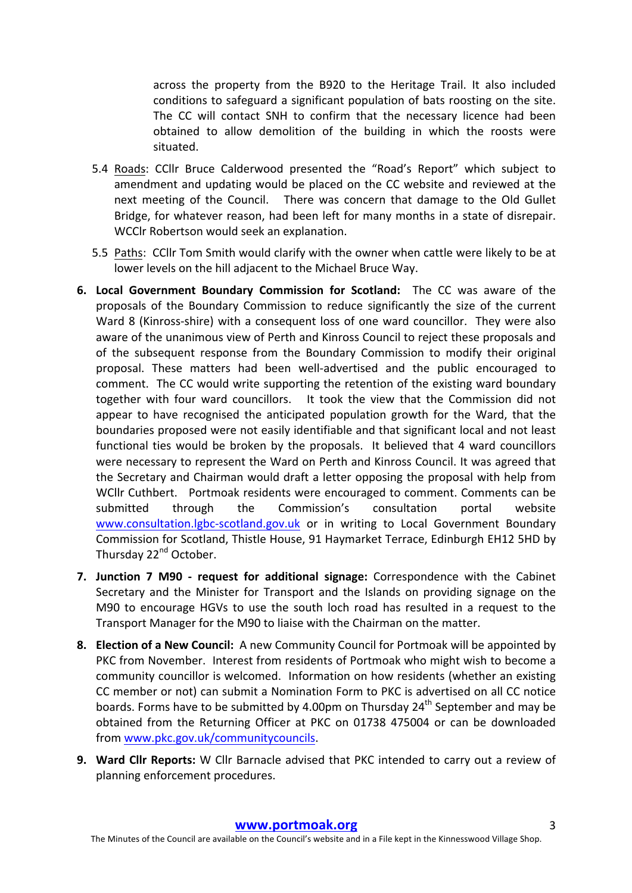across the property from the B920 to the Heritage Trail. It also included conditions to safeguard a significant population of bats roosting on the site. The CC will contact SNH to confirm that the necessary licence had been obtained to allow demolition of the building in which the roosts were situated.

- 5.4 Roads: CCllr Bruce Calderwood presented the "Road's Report" which subject to amendment and updating would be placed on the CC website and reviewed at the next meeting of the Council. There was concern that damage to the Old Gullet Bridge, for whatever reason, had been left for many months in a state of disrepair. WCCIr Robertson would seek an explanation.
- 5.5 Paths: CCIIr Tom Smith would clarify with the owner when cattle were likely to be at lower levels on the hill adjacent to the Michael Bruce Way.
- **6. Local Government Boundary Commission for Scotland:** The CC was aware of the proposals of the Boundary Commission to reduce significantly the size of the current Ward 8 (Kinross-shire) with a consequent loss of one ward councillor. They were also aware of the unanimous view of Perth and Kinross Council to reject these proposals and of the subsequent response from the Boundary Commission to modify their original proposal. These matters had been well-advertised and the public encouraged to comment. The CC would write supporting the retention of the existing ward boundary together with four ward councillors. It took the view that the Commission did not appear to have recognised the anticipated population growth for the Ward, that the boundaries proposed were not easily identifiable and that significant local and not least functional ties would be broken by the proposals. It believed that 4 ward councillors were necessary to represent the Ward on Perth and Kinross Council. It was agreed that the Secretary and Chairman would draft a letter opposing the proposal with help from WCllr Cuthbert. Portmoak residents were encouraged to comment. Comments can be submitted through the Commission's consultation portal website www.consultation.lgbc-scotland.gov.uk or in writing to Local Government Boundary Commission for Scotland, Thistle House, 91 Haymarket Terrace, Edinburgh EH12 5HD by Thursday 22<sup>nd</sup> October.
- **7. Junction 7 M90 request for additional signage:** Correspondence with the Cabinet Secretary and the Minister for Transport and the Islands on providing signage on the M90 to encourage HGVs to use the south loch road has resulted in a request to the Transport Manager for the M90 to liaise with the Chairman on the matter.
- **8. Election of a New Council:** A new Community Council for Portmoak will be appointed by PKC from November. Interest from residents of Portmoak who might wish to become a community councillor is welcomed. Information on how residents (whether an existing CC member or not) can submit a Nomination Form to PKC is advertised on all CC notice boards. Forms have to be submitted by 4.00pm on Thursday 24<sup>th</sup> September and may be obtained from the Returning Officer at PKC on 01738 475004 or can be downloaded from www.pkc.gov.uk/communitycouncils.
- **9. Ward Cllr Reports:** W Cllr Barnacle advised that PKC intended to carry out a review of planning enforcement procedures.